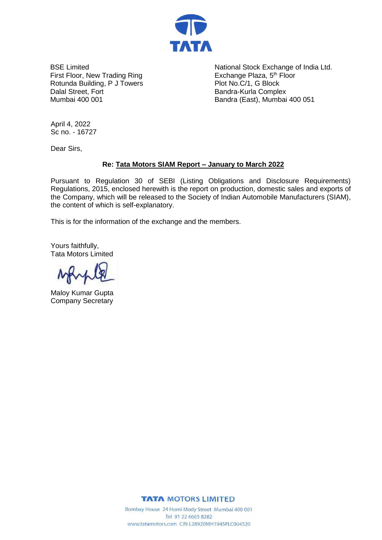

BSE Limited First Floor, New Trading Ring Rotunda Building, P J Towers Dalal Street, Fort Mumbai 400 001

National Stock Exchange of India Ltd. Exchange Plaza, 5<sup>th</sup> Floor Plot No.C/1, G Block Bandra-Kurla Complex Bandra (East), Mumbai 400 051

April 4, 2022 Sc no. - 16727

Dear Sirs,

## **Re: Tata Motors SIAM Report – January to March 2022**

Pursuant to Regulation 30 of SEBI (Listing Obligations and Disclosure Requirements) Regulations, 2015, enclosed herewith is the report on production, domestic sales and exports of the Company, which will be released to the Society of Indian Automobile Manufacturers (SIAM), the content of which is self-explanatory.

This is for the information of the exchange and the members.

Yours faithfully, Tata Motors Limited

Maloy Kumar Gupta Company Secretary

**TATA MOTORS LIMITED** 

Bombay House 24 Homi Mody Street Mumbai 400 001 Tel 91 22 6665 8282 www.tatamotors.com CIN L28920MH1945PLC004520